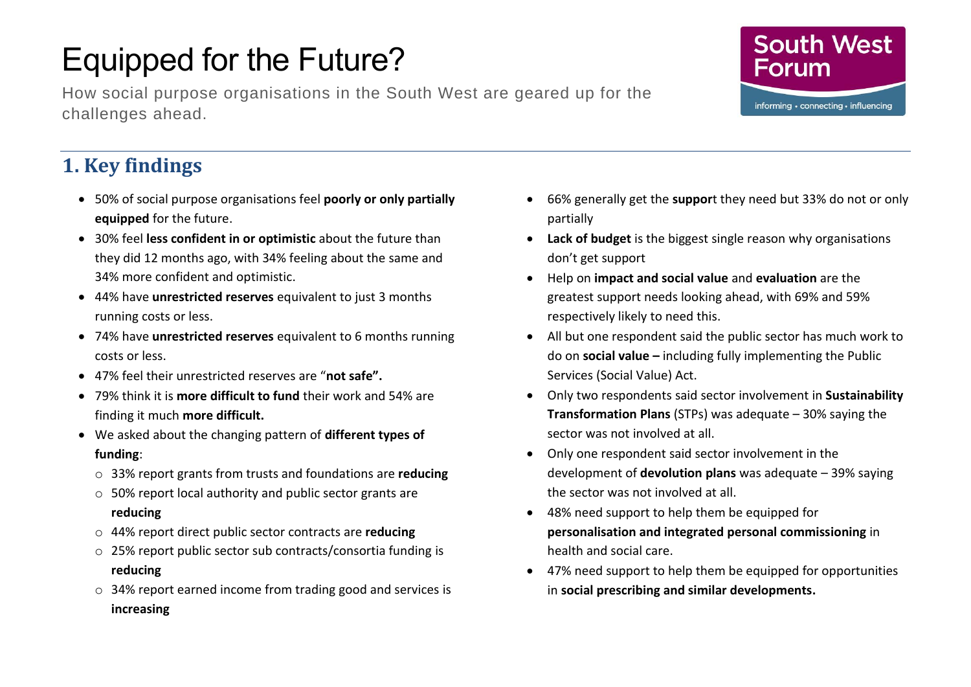# Equipped for the Future?

How social purpose organisations in the South West are geared up for the challenges ahead.



# **1. Key findings**

- 50% of social purpose organisations feel **poorly or only partially equipped** for the future.
- 30% feel **less confident in or optimistic** about the future than they did 12 months ago, with 34% feeling about the same and 34% more confident and optimistic.
- 44% have **unrestricted reserves** equivalent to just 3 months running costs or less.
- 74% have **unrestricted reserves** equivalent to 6 months running costs or less.
- 47% feel their unrestricted reserves are "**not safe".**
- 79% think it is **more difficult to fund** their work and 54% are finding it much **more difficult.**
- We asked about the changing pattern of **different types of funding**:
	- o 33% report grants from trusts and foundations are **reducing**
	- o 50% report local authority and public sector grants are **reducing**
	- o 44% report direct public sector contracts are **reducing**
	- o 25% report public sector sub contracts/consortia funding is **reducing**
	- o 34% report earned income from trading good and services is **increasing**
- 66% generally get the **suppor**t they need but 33% do not or only partially
- **Lack of budget** is the biggest single reason why organisations don't get support
- Help on **impact and social value** and **evaluation** are the greatest support needs looking ahead, with 69% and 59% respectively likely to need this.
- All but one respondent said the public sector has much work to do on **social value –** including fully implementing the Public Services (Social Value) Act.
- Only two respondents said sector involvement in **Sustainability Transformation Plans** (STPs) was adequate – 30% saying the sector was not involved at all.
- Only one respondent said sector involvement in the development of **devolution plans** was adequate – 39% saying the sector was not involved at all.
- 48% need support to help them be equipped for **personalisation and integrated personal commissioning** in health and social care.
- 47% need support to help them be equipped for opportunities in **social prescribing and similar developments.**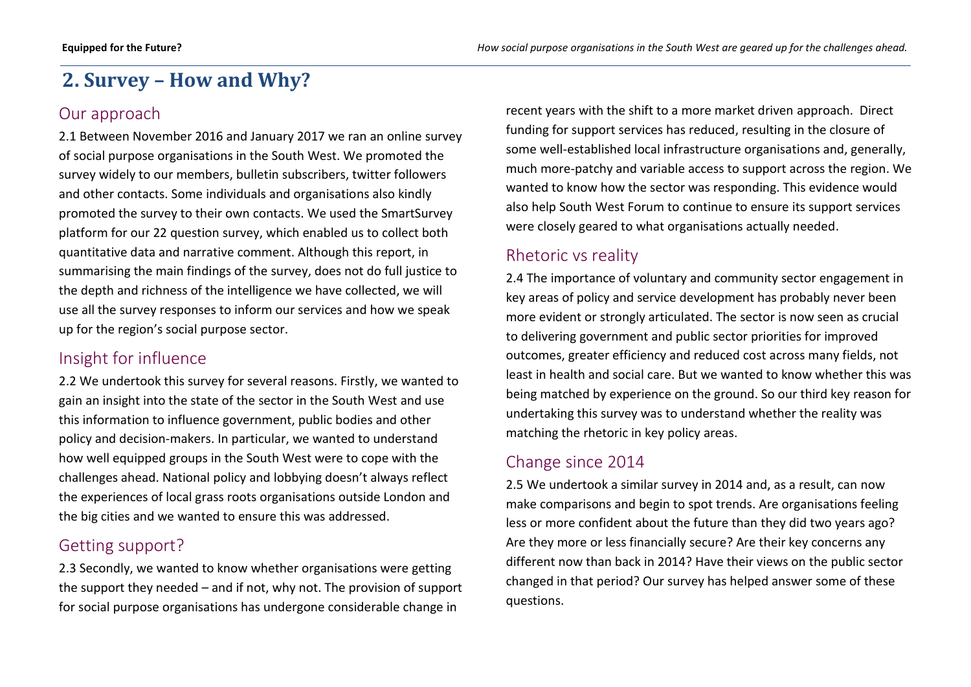## **2. Survey – How and Why?**

#### Our approach

2.1 Between November 2016 and January 2017 we ran an online survey of social purpose organisations in the South West. We promoted the survey widely to our members, bulletin subscribers, twitter followers and other contacts. Some individuals and organisations also kindly promoted the survey to their own contacts. We used the SmartSurvey platform for our 22 question survey, which enabled us to collect both quantitative data and narrative comment. Although this report, in summarising the main findings of the survey, does not do full justice to the depth and richness of the intelligence we have collected, we will use all the survey responses to inform our services and how we speak up for the region's social purpose sector.

#### Insight for influence

2.2 We undertook this survey for several reasons. Firstly, we wanted to gain an insight into the state of the sector in the South West and use this information to influence government, public bodies and other policy and decision-makers. In particular, we wanted to understand how well equipped groups in the South West were to cope with the challenges ahead. National policy and lobbying doesn't always reflect the experiences of local grass roots organisations outside London and the big cities and we wanted to ensure this was addressed.

#### Getting support?

2.3 Secondly, we wanted to know whether organisations were getting the support they needed – and if not, why not. The provision of support for social purpose organisations has undergone considerable change in

recent years with the shift to a more market driven approach. Direct funding for support services has reduced, resulting in the closure of some well-established local infrastructure organisations and, generally, much more-patchy and variable access to support across the region. We wanted to know how the sector was responding. This evidence would also help South West Forum to continue to ensure its support services were closely geared to what organisations actually needed.

#### Rhetoric vs reality

2.4 The importance of voluntary and community sector engagement in key areas of policy and service development has probably never been more evident or strongly articulated. The sector is now seen as crucial to delivering government and public sector priorities for improved outcomes, greater efficiency and reduced cost across many fields, not least in health and social care. But we wanted to know whether this was being matched by experience on the ground. So our third key reason for undertaking this survey was to understand whether the reality was matching the rhetoric in key policy areas.

#### Change since 2014

2.5 We undertook a similar survey in 2014 and, as a result, can now make comparisons and begin to spot trends. Are organisations feeling less or more confident about the future than they did two years ago? Are they more or less financially secure? Are their key concerns any different now than back in 2014? Have their views on the public sector changed in that period? Our survey has helped answer some of these questions.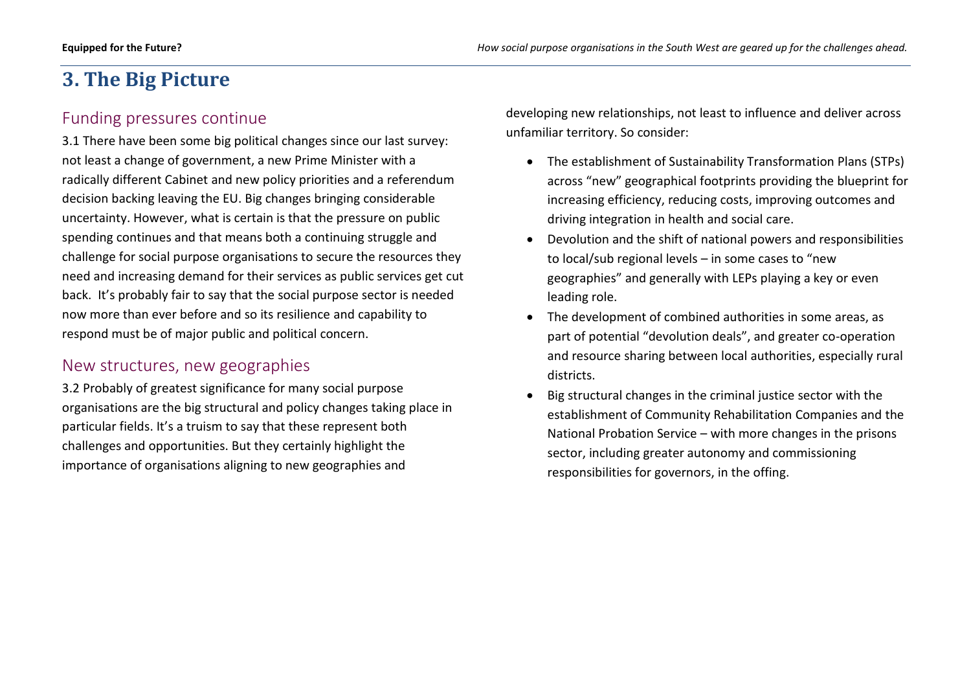## **3. The Big Picture**

#### Funding pressures continue

3.1 There have been some big political changes since our last survey: not least a change of government, a new Prime Minister with a radically different Cabinet and new policy priorities and a referendum decision backing leaving the EU. Big changes bringing considerable uncertainty. However, what is certain is that the pressure on public spending continues and that means both a continuing struggle and challenge for social purpose organisations to secure the resources they need and increasing demand for their services as public services get cut back. It's probably fair to say that the social purpose sector is needed now more than ever before and so its resilience and capability to respond must be of major public and political concern.

#### New structures, new geographies

3.2 Probably of greatest significance for many social purpose organisations are the big structural and policy changes taking place in particular fields. It's a truism to say that these represent both challenges and opportunities. But they certainly highlight the importance of organisations aligning to new geographies and

developing new relationships, not least to influence and deliver across unfamiliar territory. So consider:

- The establishment of Sustainability Transformation Plans (STPs) across "new" geographical footprints providing the blueprint for increasing efficiency, reducing costs, improving outcomes and driving integration in health and social care.
- Devolution and the shift of national powers and responsibilities to local/sub regional levels – in some cases to "new geographies" and generally with LEPs playing a key or even leading role.
- The development of combined authorities in some areas, as part of potential "devolution deals", and greater co-operation and resource sharing between local authorities, especially rural districts.
- Big structural changes in the criminal justice sector with the establishment of Community Rehabilitation Companies and the National Probation Service – with more changes in the prisons sector, including greater autonomy and commissioning responsibilities for governors, in the offing.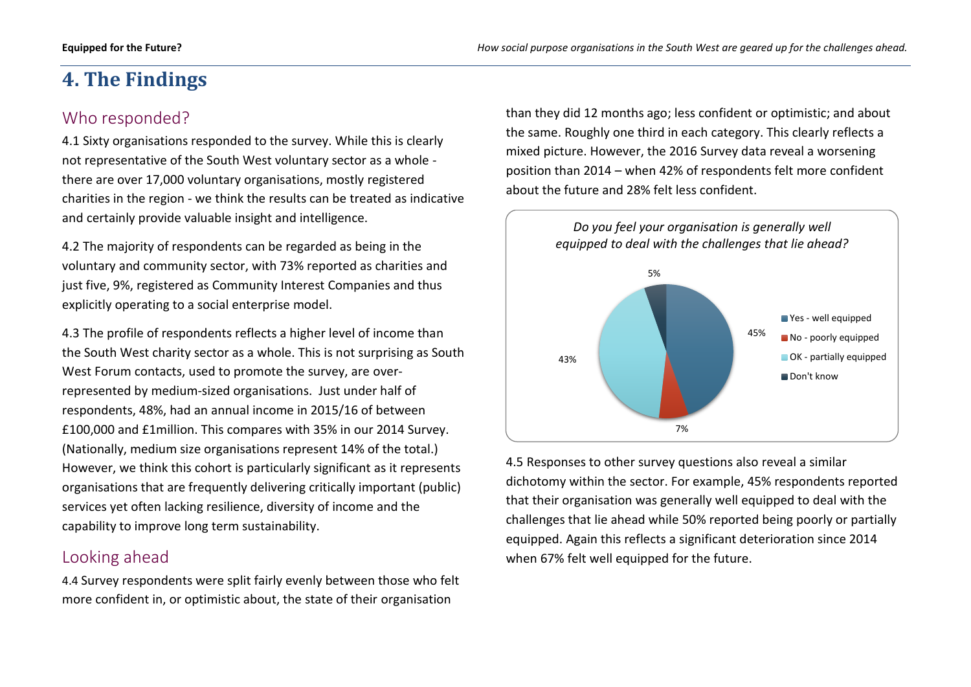# **4. The Findings**

#### Who responded?

4.1 Sixty organisations responded to the survey. While this is clearly not representative of the South West voluntary sector as a whole there are over 17,000 voluntary organisations, mostly registered charities in the region - we think the results can be treated as indicative and certainly provide valuable insight and intelligence.

4.2 The majority of respondents can be regarded as being in the voluntary and community sector, with 73% reported as charities and just five, 9%, registered as Community Interest Companies and thus explicitly operating to a social enterprise model.

4.3 The profile of respondents reflects a higher level of income than the South West charity sector as a whole. This is not surprising as South West Forum contacts, used to promote the survey, are overrepresented by medium-sized organisations. Just under half of respondents, 48%, had an annual income in 2015/16 of between £100,000 and £1million. This compares with 35% in our 2014 Survey. (Nationally, medium size organisations represent 14% of the total.) However, we think this cohort is particularly significant as it represents organisations that are frequently delivering critically important (public) services yet often lacking resilience, diversity of income and the capability to improve long term sustainability.

#### Looking ahead

4.4 Survey respondents were split fairly evenly between those who felt more confident in, or optimistic about, the state of their organisation

than they did 12 months ago; less confident or optimistic; and about the same. Roughly one third in each category. This clearly reflects a mixed picture. However, the 2016 Survey data reveal a worsening position than 2014 – when 42% of respondents felt more confident about the future and 28% felt less confident.



4.5 Responses to other survey questions also reveal a similar dichotomy within the sector. For example, 45% respondents reported that their organisation was generally well equipped to deal with the challenges that lie ahead while 50% reported being poorly or partially equipped. Again this reflects a significant deterioration since 2014 when 67% felt well equipped for the future.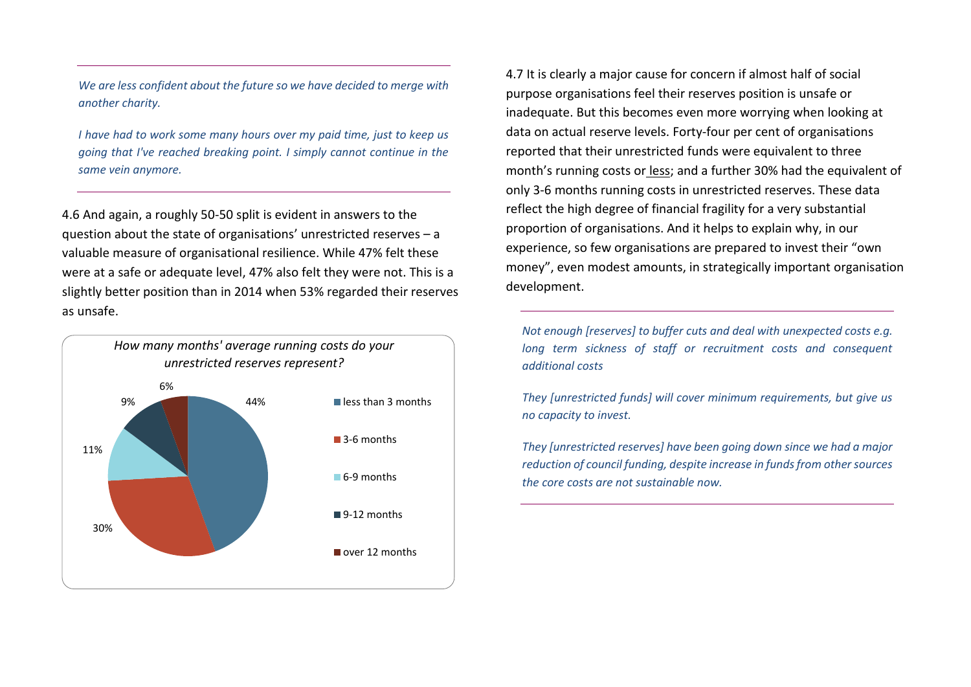*We are less confident about the future so we have decided to merge with another charity.*

*I have had to work some many hours over my paid time, just to keep us going that I've reached breaking point. I simply cannot continue in the same vein anymore.*

4.6 And again, a roughly 50-50 split is evident in answers to the question about the state of organisations' unrestricted reserves – a valuable measure of organisational resilience. While 47% felt these were at a safe or adequate level, 47% also felt they were not. This is a slightly better position than in 2014 when 53% regarded their reserves as unsafe.



4.7 It is clearly a major cause for concern if almost half of social purpose organisations feel their reserves position is unsafe or inadequate. But this becomes even more worrying when looking at data on actual reserve levels. Forty-four per cent of organisations reported that their unrestricted funds were equivalent to three month's running costs or less; and a further 30% had the equivalent of only 3-6 months running costs in unrestricted reserves. These data reflect the high degree of financial fragility for a very substantial proportion of organisations. And it helps to explain why, in our experience, so few organisations are prepared to invest their "own money", even modest amounts, in strategically important organisation development.

*Not enough [reserves] to buffer cuts and deal with unexpected costs e.g.* long term sickness of staff or recruitment costs and consequent *additional costs*

*They [unrestricted funds] will cover minimum requirements, but give us no capacity to invest.*

*They [unrestricted reserves] have been going down since we had a major reduction of council funding, despite increase in funds from other sources the core costs are not sustainable now.*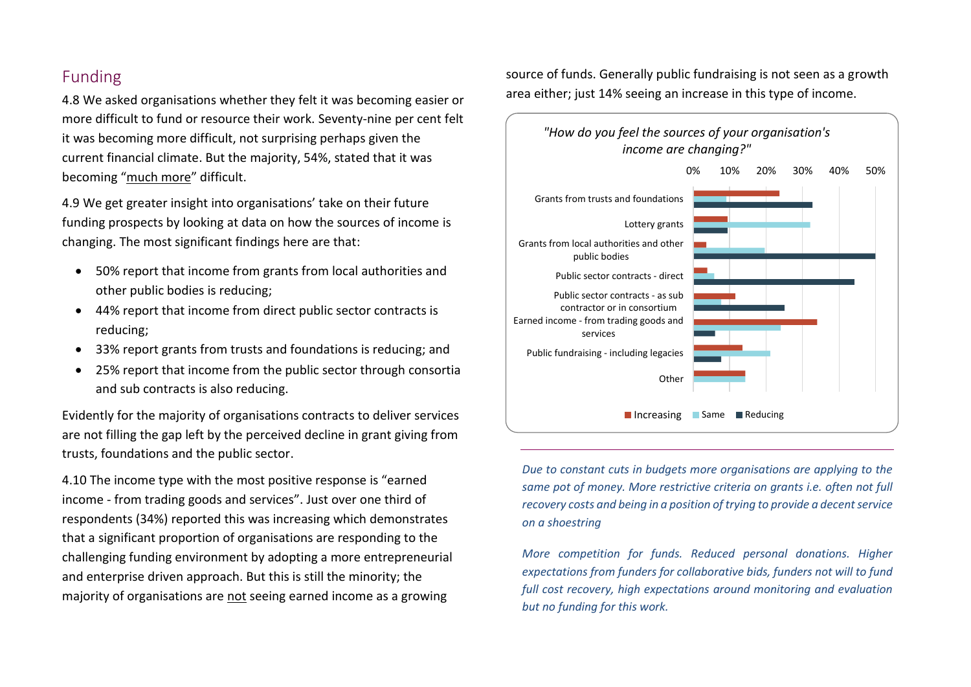#### Funding

4.8 We asked organisations whether they felt it was becoming easier or more difficult to fund or resource their work. Seventy-nine per cent felt it was becoming more difficult, not surprising perhaps given the current financial climate. But the majority, 54%, stated that it was becoming "much more" difficult.

4.9 We get greater insight into organisations' take on their future funding prospects by looking at data on how the sources of income is changing. The most significant findings here are that:

- 50% report that income from grants from local authorities and other public bodies is reducing;
- 44% report that income from direct public sector contracts is reducing;
- 33% report grants from trusts and foundations is reducing; and
- 25% report that income from the public sector through consortia and sub contracts is also reducing.

Evidently for the majority of organisations contracts to deliver services are not filling the gap left by the perceived decline in grant giving from trusts, foundations and the public sector.

4.10 The income type with the most positive response is "earned income - from trading goods and services". Just over one third of respondents (34%) reported this was increasing which demonstrates that a significant proportion of organisations are responding to the challenging funding environment by adopting a more entrepreneurial and enterprise driven approach. But this is still the minority; the majority of organisations are not seeing earned income as a growing

source of funds. Generally public fundraising is not seen as a growth area either; just 14% seeing an increase in this type of income.



*Due to constant cuts in budgets more organisations are applying to the same pot of money. More restrictive criteria on grants i.e. often not full recovery costs and being in a position of trying to provide a decent service on a shoestring*

*More competition for funds. Reduced personal donations. Higher expectations from funders for collaborative bids, funders not will to fund full cost recovery, high expectations around monitoring and evaluation but no funding for this work.*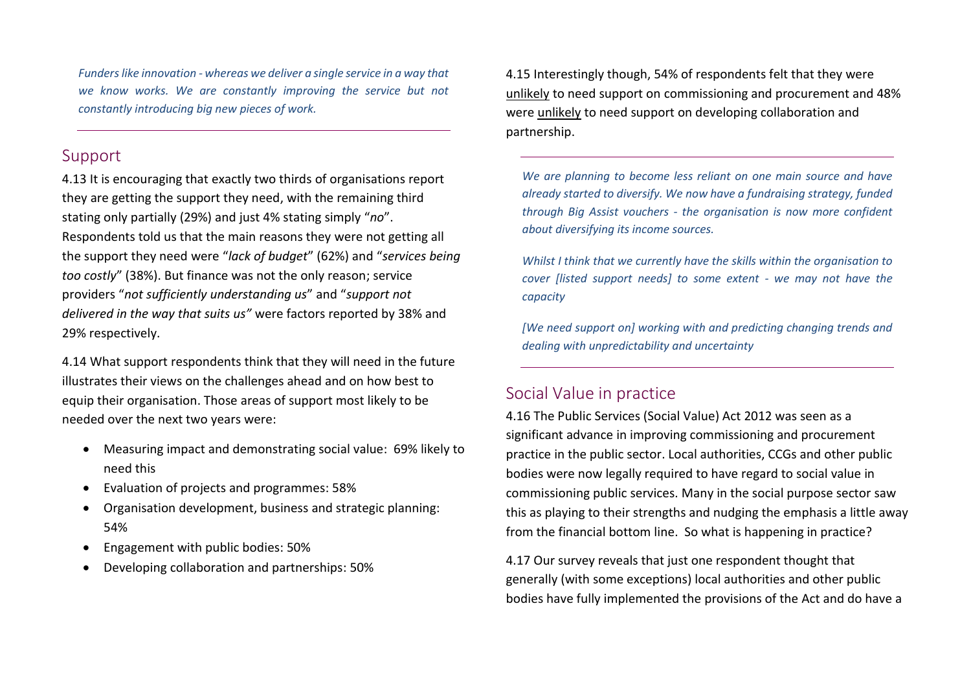*Funders like innovation - whereas we deliver a single service in a way that we know works. We are constantly improving the service but not constantly introducing big new pieces of work.*

#### Support

4.13 It is encouraging that exactly two thirds of organisations report they are getting the support they need, with the remaining third stating only partially (29%) and just 4% stating simply "*no*". Respondents told us that the main reasons they were not getting all the support they need were "*lack of budget*" (62%) and "*services being too costly*" (38%). But finance was not the only reason; service providers "*not sufficiently understanding us*" and "*support not delivered in the way that suits us"* were factors reported by 38% and 29% respectively.

4.14 What support respondents think that they will need in the future illustrates their views on the challenges ahead and on how best to equip their organisation. Those areas of support most likely to be needed over the next two years were:

- Measuring impact and demonstrating social value: 69% likely to need this
- Evaluation of projects and programmes: 58%
- Organisation development, business and strategic planning: 54%
- Engagement with public bodies: 50%
- Developing collaboration and partnerships: 50%

4.15 Interestingly though, 54% of respondents felt that they were unlikely to need support on commissioning and procurement and 48% were unlikely to need support on developing collaboration and partnership.

*We are planning to become less reliant on one main source and have already started to diversify. We now have a fundraising strategy, funded through Big Assist vouchers - the organisation is now more confident about diversifying its income sources.*

*Whilst I think that we currently have the skills within the organisation to cover [listed support needs] to some extent - we may not have the capacity*

*[We need support on] working with and predicting changing trends and dealing with unpredictability and uncertainty*

#### Social Value in practice

4.16 The Public Services (Social Value) Act 2012 was seen as a significant advance in improving commissioning and procurement practice in the public sector. Local authorities, CCGs and other public bodies were now legally required to have regard to social value in commissioning public services. Many in the social purpose sector saw this as playing to their strengths and nudging the emphasis a little away from the financial bottom line. So what is happening in practice?

4.17 Our survey reveals that just one respondent thought that generally (with some exceptions) local authorities and other public bodies have fully implemented the provisions of the Act and do have a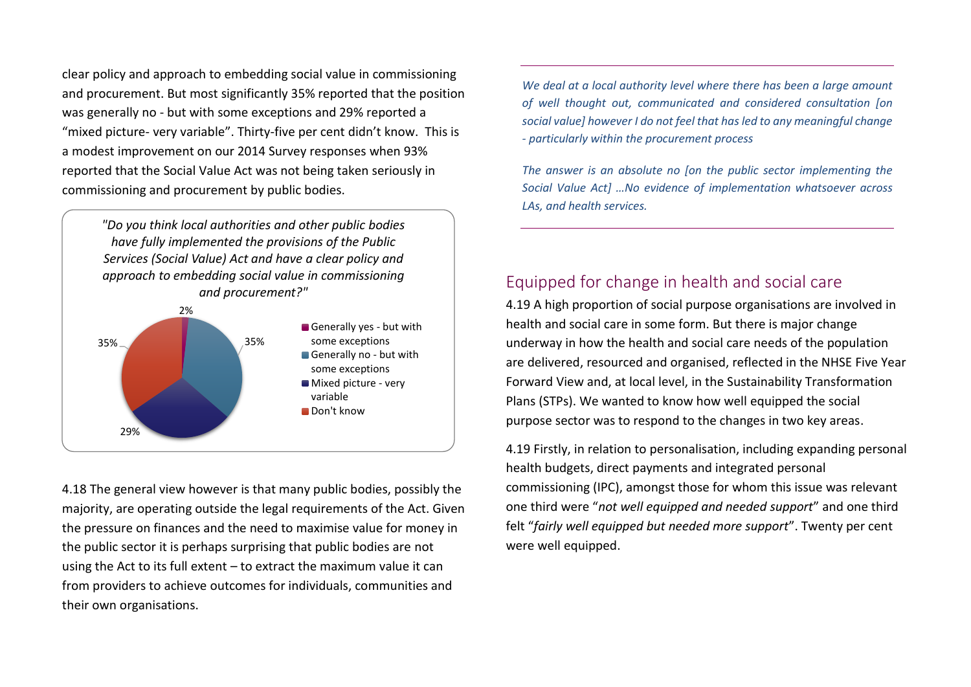clear policy and approach to embedding social value in commissioning and procurement. But most significantly 35% reported that the position was generally no - but with some exceptions and 29% reported a "mixed picture- very variable". Thirty-five per cent didn't know. This is a modest improvement on our 2014 Survey responses when 93% reported that the Social Value Act was not being taken seriously in commissioning and procurement by public bodies.

*"Do you think local authorities and other public bodies have fully implemented the provisions of the Public Services (Social Value) Act and have a clear policy and approach to embedding social value in commissioning and procurement?"*



4.18 The general view however is that many public bodies, possibly the majority, are operating outside the legal requirements of the Act. Given the pressure on finances and the need to maximise value for money in the public sector it is perhaps surprising that public bodies are not using the Act to its full extent – to extract the maximum value it can from providers to achieve outcomes for individuals, communities and their own organisations.

*We deal at a local authority level where there has been a large amount of well thought out, communicated and considered consultation [on social value] however I do not feel that has led to any meaningful change - particularly within the procurement process*

*The answer is an absolute no [on the public sector implementing the Social Value Act] …No evidence of implementation whatsoever across LAs, and health services.*

#### Equipped for change in health and social care

4.19 A high proportion of social purpose organisations are involved in health and social care in some form. But there is major change underway in how the health and social care needs of the population are delivered, resourced and organised, reflected in the NHSE Five Year Forward View and, at local level, in the Sustainability Transformation Plans (STPs). We wanted to know how well equipped the social purpose sector was to respond to the changes in two key areas.

4.19 Firstly, in relation to personalisation, including expanding personal health budgets, direct payments and integrated personal commissioning (IPC), amongst those for whom this issue was relevant one third were "*not well equipped and needed support*" and one third felt "*fairly well equipped but needed more support*". Twenty per cent were well equipped.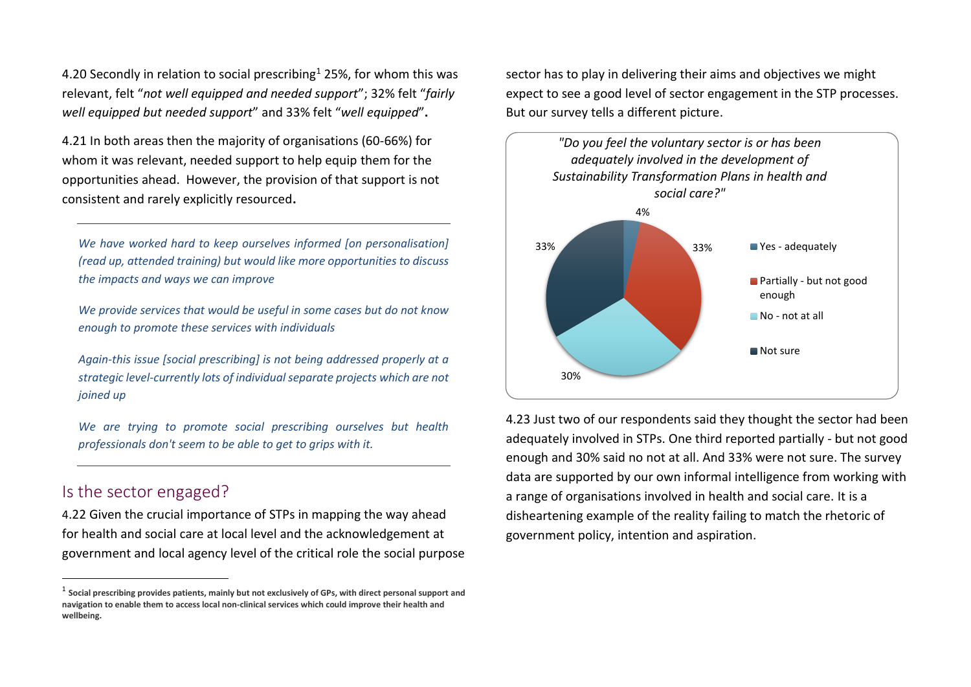4.20 Secondly in relation to social prescribing<sup>1</sup> 25%, for whom this was relevant, felt "*not well equipped and needed support*"; 32% felt "*fairly well equipped but needed support*" and 33% felt "*well equipped*"**.**

4.21 In both areas then the majority of organisations (60-66%) for whom it was relevant, needed support to help equip them for the opportunities ahead. However, the provision of that support is not consistent and rarely explicitly resourced**.**

*We have worked hard to keep ourselves informed [on personalisation] (read up, attended training) but would like more opportunities to discuss the impacts and ways we can improve*

*We provide services that would be useful in some cases but do not know enough to promote these services with individuals*

*Again-this issue [social prescribing] is not being addressed properly at a strategic level-currently lots of individual separate projects which are not joined up*

*We are trying to promote social prescribing ourselves but health professionals don't seem to be able to get to grips with it.*

#### Is the sector engaged?

 $\overline{a}$ 

4.22 Given the crucial importance of STPs in mapping the way ahead for health and social care at local level and the acknowledgement at government and local agency level of the critical role the social purpose sector has to play in delivering their aims and objectives we might expect to see a good level of sector engagement in the STP processes. But our survey tells a different picture.



4.23 Just two of our respondents said they thought the sector had been adequately involved in STPs. One third reported partially - but not good enough and 30% said no not at all. And 33% were not sure. The survey data are supported by our own informal intelligence from working with a range of organisations involved in health and social care. It is a disheartening example of the reality failing to match the rhetoric of government policy, intention and aspiration.

<sup>1</sup> **Social prescribing provides patients, mainly but not exclusively of GPs, with direct personal support and navigation to enable them to access local non-clinical services which could improve their health and wellbeing.**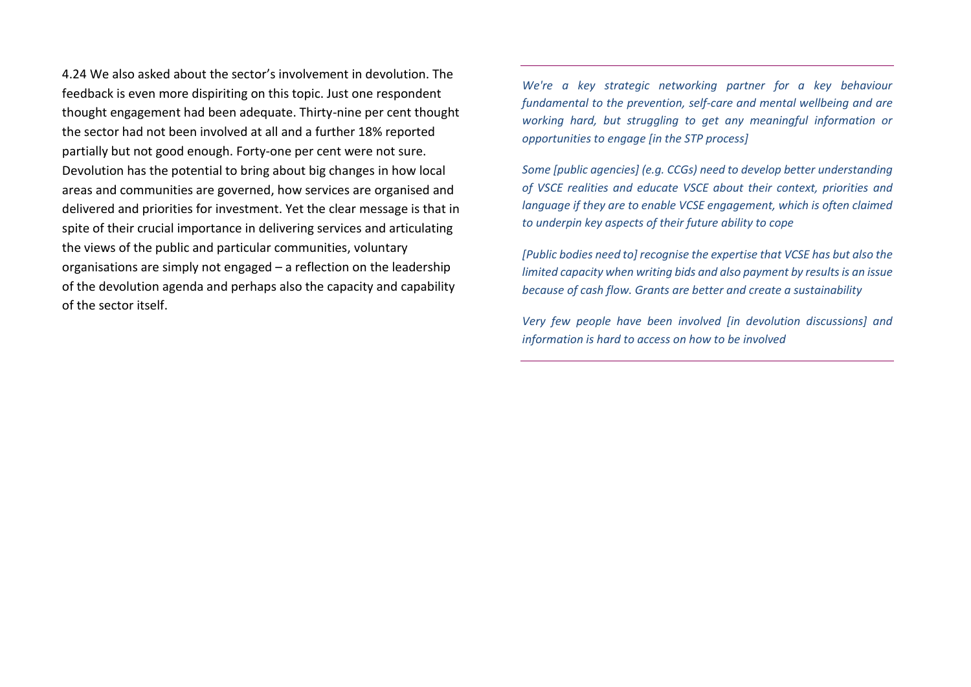4.24 We also asked about the sector's involvement in devolution. The feedback is even more dispiriting on this topic. Just one respondent thought engagement had been adequate. Thirty-nine per cent thought the sector had not been involved at all and a further 18% reported partially but not good enough. Forty-one per cent were not sure. Devolution has the potential to bring about big changes in how local areas and communities are governed, how services are organised and delivered and priorities for investment. Yet the clear message is that in spite of their crucial importance in delivering services and articulating the views of the public and particular communities, voluntary organisations are simply not engaged – a reflection on the leadership of the devolution agenda and perhaps also the capacity and capability of the sector itself.

*We're a key strategic networking partner for a key behaviour fundamental to the prevention, self-care and mental wellbeing and are working hard, but struggling to get any meaningful information or opportunities to engage [in the STP process]*

*Some [public agencies] (e.g. CCGs) need to develop better understanding of VSCE realities and educate VSCE about their context, priorities and language if they are to enable VCSE engagement, which is often claimed to underpin key aspects of their future ability to cope*

*[Public bodies need to] recognise the expertise that VCSE has but also the limited capacity when writing bids and also payment by results is an issue because of cash flow. Grants are better and create a sustainability*

*Very few people have been involved [in devolution discussions] and information is hard to access on how to be involved*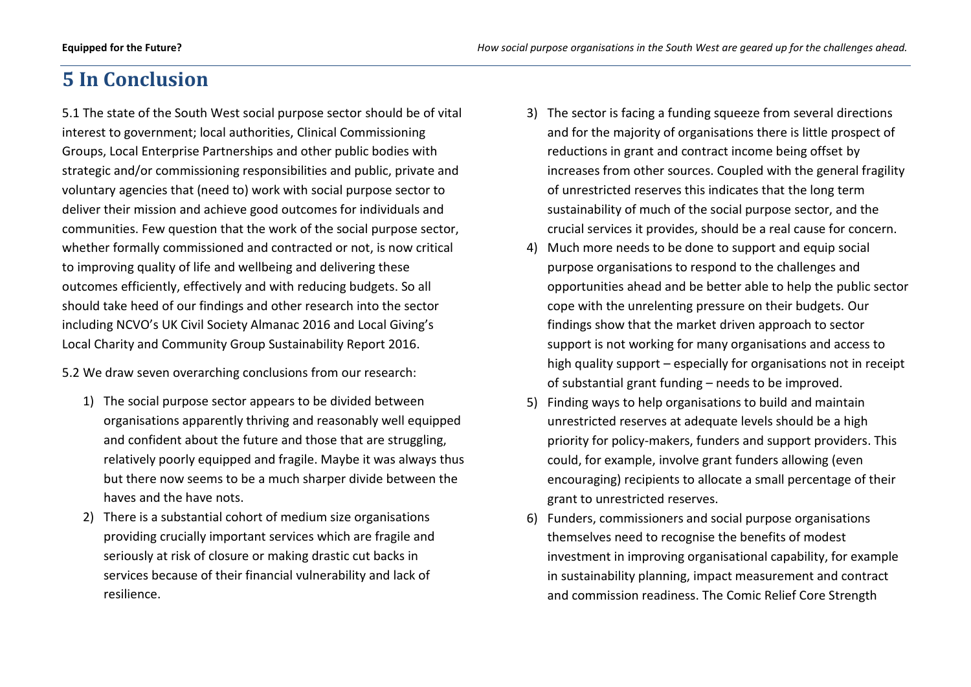## **5 In Conclusion**

5.1 The state of the South West social purpose sector should be of vital interest to government; local authorities, Clinical Commissioning Groups, Local Enterprise Partnerships and other public bodies with strategic and/or commissioning responsibilities and public, private and voluntary agencies that (need to) work with social purpose sector to deliver their mission and achieve good outcomes for individuals and communities. Few question that the work of the social purpose sector, whether formally commissioned and contracted or not, is now critical to improving quality of life and wellbeing and delivering these outcomes efficiently, effectively and with reducing budgets. So all should take heed of our findings and other research into the sector including NCVO's UK Civil Society Almanac 2016 and Local Giving's Local Charity and Community Group Sustainability Report 2016.

5.2 We draw seven overarching conclusions from our research:

- 1) The social purpose sector appears to be divided between organisations apparently thriving and reasonably well equipped and confident about the future and those that are struggling, relatively poorly equipped and fragile. Maybe it was always thus but there now seems to be a much sharper divide between the haves and the have nots.
- 2) There is a substantial cohort of medium size organisations providing crucially important services which are fragile and seriously at risk of closure or making drastic cut backs in services because of their financial vulnerability and lack of resilience.
- 3) The sector is facing a funding squeeze from several directions and for the majority of organisations there is little prospect of reductions in grant and contract income being offset by increases from other sources. Coupled with the general fragility of unrestricted reserves this indicates that the long term sustainability of much of the social purpose sector, and the crucial services it provides, should be a real cause for concern.
- 4) Much more needs to be done to support and equip social purpose organisations to respond to the challenges and opportunities ahead and be better able to help the public sector cope with the unrelenting pressure on their budgets. Our findings show that the market driven approach to sector support is not working for many organisations and access to high quality support – especially for organisations not in receipt of substantial grant funding – needs to be improved.
- 5) Finding ways to help organisations to build and maintain unrestricted reserves at adequate levels should be a high priority for policy-makers, funders and support providers. This could, for example, involve grant funders allowing (even encouraging) recipients to allocate a small percentage of their grant to unrestricted reserves.
- 6) Funders, commissioners and social purpose organisations themselves need to recognise the benefits of modest investment in improving organisational capability, for example in sustainability planning, impact measurement and contract and commission readiness. The Comic Relief Core Strength